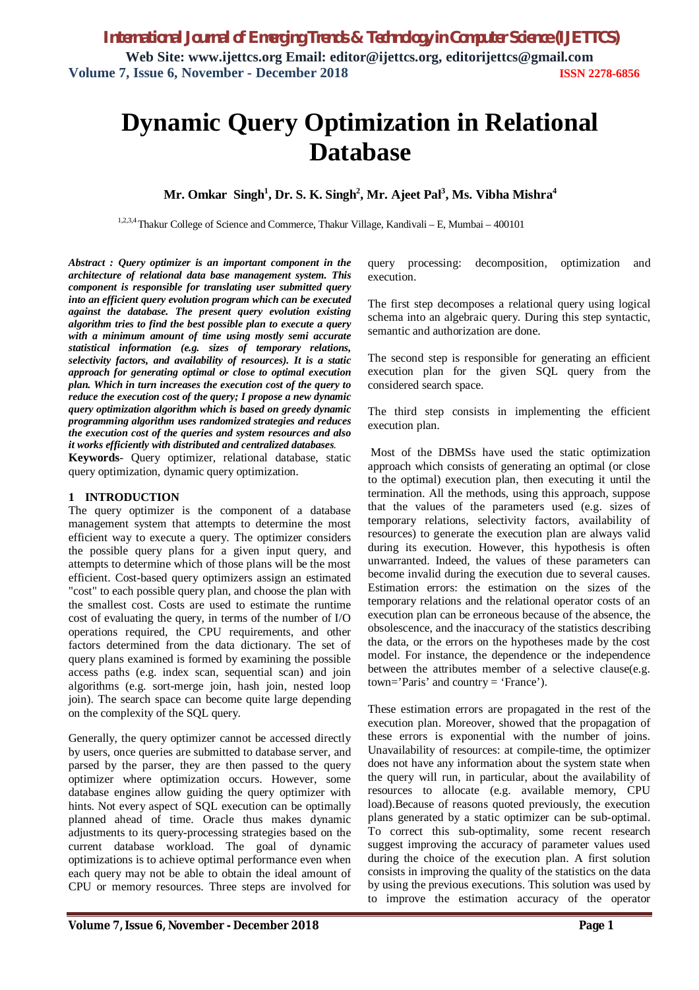# **Dynamic Query Optimization in Relational Database**

**Mr. Omkar Singh<sup>1</sup> , Dr. S. K. Singh<sup>2</sup> , Mr. Ajeet Pal<sup>3</sup> , Ms. Vibha Mishra<sup>4</sup>**

1,2,3,4Thakur College of Science and Commerce, Thakur Village, Kandivali – E, Mumbai – 400101

*Abstract : Query optimizer is an important component in the architecture of relational data base management system. This component is responsible for translating user submitted query into an efficient query evolution program which can be executed against the database. The present query evolution existing algorithm tries to find the best possible plan to execute a query with a minimum amount of time using mostly semi accurate statistical information (e.g. sizes of temporary relations, selectivity factors, and availability of resources). It is a static approach for generating optimal or close to optimal execution plan. Which in turn increases the execution cost of the query to reduce the execution cost of the query; I propose a new dynamic query optimization algorithm which is based on greedy dynamic programming algorithm uses randomized strategies and reduces the execution cost of the queries and system resources and also it works efficiently with distributed and centralized databases.*

**Keywords**- Query optimizer, relational database, static query optimization, dynamic query optimization*.*

#### **1 INTRODUCTION**

The query optimizer is the component of a database management system that attempts to determine the most efficient way to execute a query. The optimizer considers the possible query plans for a given input query, and attempts to determine which of those plans will be the most efficient. Cost-based query optimizers assign an estimated "cost" to each possible query plan, and choose the plan with the smallest cost. Costs are used to estimate the runtime cost of evaluating the query, in terms of the number of I/O operations required, the CPU requirements, and other factors determined from the data dictionary. The set of query plans examined is formed by examining the possible access paths (e.g. index scan, sequential scan) and join algorithms (e.g. sort-merge join, hash join, nested loop join). The search space can become quite large depending on the complexity of the SQL query.

Generally, the query optimizer cannot be accessed directly by users, once queries are submitted to database server, and parsed by the parser, they are then passed to the query optimizer where optimization occurs. However, some database engines allow guiding the query optimizer with hints. Not every aspect of SQL execution can be optimally planned ahead of time. Oracle thus makes dynamic adjustments to its query-processing strategies based on the current database workload. The goal of dynamic optimizations is to achieve optimal performance even when each query may not be able to obtain the ideal amount of CPU or memory resources. Three steps are involved for

query processing: decomposition, optimization and execution.

The first step decomposes a relational query using logical schema into an algebraic query. During this step syntactic, semantic and authorization are done.

The second step is responsible for generating an efficient execution plan for the given SQL query from the considered search space.

The third step consists in implementing the efficient execution plan.

Most of the DBMSs have used the static optimization approach which consists of generating an optimal (or close to the optimal) execution plan, then executing it until the termination. All the methods, using this approach, suppose that the values of the parameters used (e.g. sizes of temporary relations, selectivity factors, availability of resources) to generate the execution plan are always valid during its execution. However, this hypothesis is often unwarranted. Indeed, the values of these parameters can become invalid during the execution due to several causes. Estimation errors: the estimation on the sizes of the temporary relations and the relational operator costs of an execution plan can be erroneous because of the absence, the obsolescence, and the inaccuracy of the statistics describing the data, or the errors on the hypotheses made by the cost model. For instance, the dependence or the independence between the attributes member of a selective clause(e.g. town='Paris' and country = 'France').

These estimation errors are propagated in the rest of the execution plan. Moreover, showed that the propagation of these errors is exponential with the number of joins. Unavailability of resources: at compile-time, the optimizer does not have any information about the system state when the query will run, in particular, about the availability of resources to allocate (e.g. available memory, CPU load).Because of reasons quoted previously, the execution plans generated by a static optimizer can be sub-optimal. To correct this sub-optimality, some recent research suggest improving the accuracy of parameter values used during the choice of the execution plan. A first solution consists in improving the quality of the statistics on the data by using the previous executions. This solution was used by to improve the estimation accuracy of the operator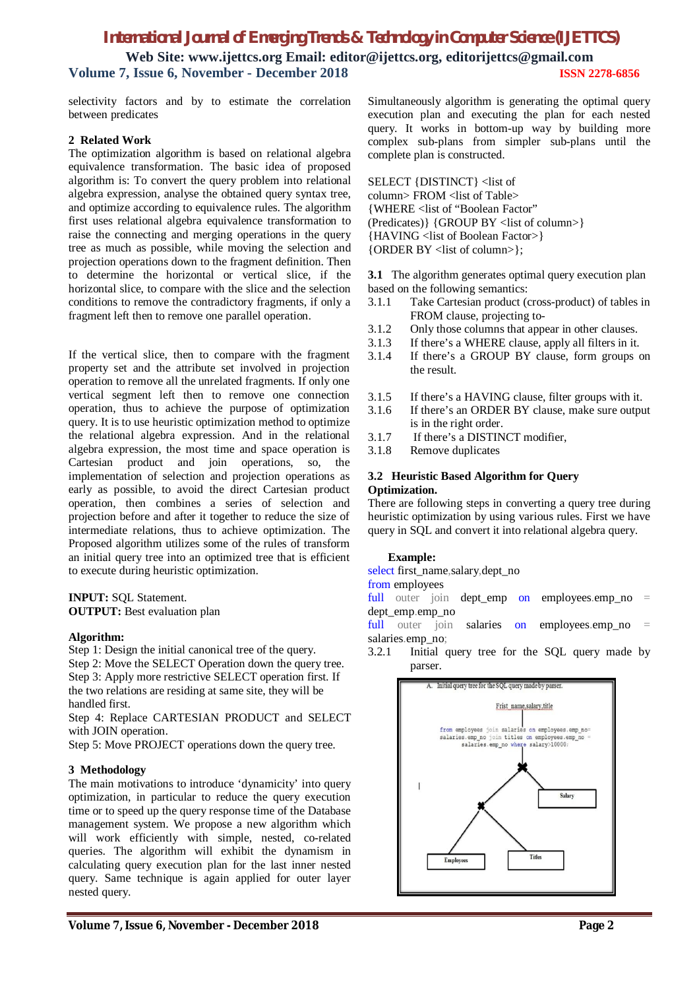# *International Journal of Emerging Trends & Technology in Computer Science (IJETTCS)*

**Web Site: www.ijettcs.org Email: editor@ijettcs.org, editorijettcs@gmail.com Volume 7, Issue 6, November - December 2018 ISSN 2278-6856**

selectivity factors and by to estimate the correlation between predicates

#### **2 Related Work**

The optimization algorithm is based on relational algebra equivalence transformation. The basic idea of proposed algorithm is: To convert the query problem into relational algebra expression, analyse the obtained query syntax tree, and optimize according to equivalence rules. The algorithm first uses relational algebra equivalence transformation to raise the connecting and merging operations in the query tree as much as possible, while moving the selection and projection operations down to the fragment definition. Then to determine the horizontal or vertical slice, if the horizontal slice, to compare with the slice and the selection conditions to remove the contradictory fragments, if only a fragment left then to remove one parallel operation.

If the vertical slice, then to compare with the fragment property set and the attribute set involved in projection operation to remove all the unrelated fragments. If only one vertical segment left then to remove one connection operation, thus to achieve the purpose of optimization query. It is to use heuristic optimization method to optimize the relational algebra expression. And in the relational algebra expression, the most time and space operation is Cartesian product and join operations, so, the implementation of selection and projection operations as early as possible, to avoid the direct Cartesian product operation, then combines a series of selection and projection before and after it together to reduce the size of intermediate relations, thus to achieve optimization. The Proposed algorithm utilizes some of the rules of transform an initial query tree into an optimized tree that is efficient to execute during heuristic optimization.

#### **INPUT:** SQL Statement.

**OUTPUT:** Best evaluation plan

#### **Algorithm:**

Step 1: Design the initial canonical tree of the query. Step 2: Move the SELECT Operation down the query tree. Step 3: Apply more restrictive SELECT operation first. If the two relations are residing at same site, they will be handled first.

Step 4: Replace CARTESIAN PRODUCT and SELECT with JOIN operation.

Step 5: Move PROJECT operations down the query tree.

#### **3 Methodology**

The main motivations to introduce 'dynamicity' into query optimization, in particular to reduce the query execution time or to speed up the query response time of the Database management system. We propose a new algorithm which will work efficiently with simple, nested, co-related queries. The algorithm will exhibit the dynamism in calculating query execution plan for the last inner nested query. Same technique is again applied for outer layer nested query.

Simultaneously algorithm is generating the optimal query execution plan and executing the plan for each nested query. It works in bottom-up way by building more complex sub-plans from simpler sub-plans until the complete plan is constructed.

SELECT {DISTINCT} <list of column> FROM <list of Table> {WHERE <list of "Boolean Factor" (Predicates)} {GROUP BY <list of column>} {HAVING <list of Boolean Factor>} {ORDER BY <list of column>};

**3.1** The algorithm generates optimal query execution plan based on the following semantics:

- 3.1.1 Take Cartesian product (cross-product) of tables in FROM clause, projecting to-
- 3.1.2 Only those columns that appear in other clauses.
- 3.1.3 If there's a WHERE clause, apply all filters in it.
- 3.1.4 If there's a GROUP BY clause, form groups on the result.
- 3.1.5 If there's a HAVING clause, filter groups with it.
- 3.1.6 If there's an ORDER BY clause, make sure output is in the right order.
- 3.1.7 If there's a DISTINCT modifier,
- 3.1.8 Remove duplicates

#### **3.2 Heuristic Based Algorithm for Query Optimization.**

There are following steps in converting a query tree during heuristic optimization by using various rules. First we have query in SQL and convert it into relational algebra query.

#### **Example:**

select first\_name,salary,dept\_no

from employees

full outer join dept\_emp on employees.emp\_no dept\_emp.emp\_no

full outer join salaries on employees.emp\_no salaries.emp\_no;

3.2.1 Initial query tree for the SQL query made by parser.

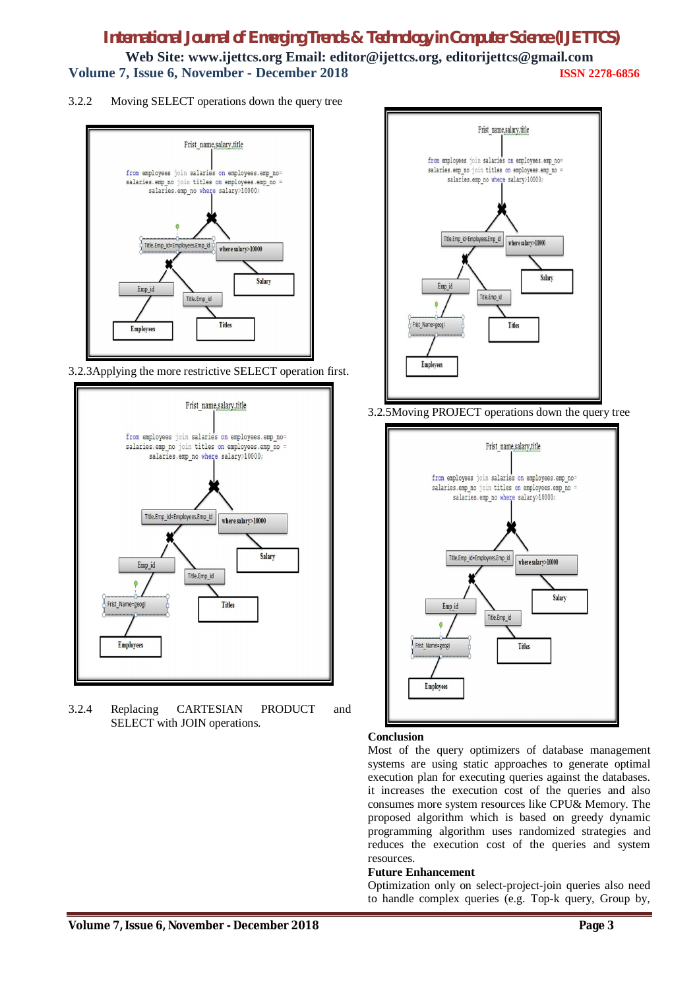## *International Journal of Emerging Trends & Technology in Computer Science (IJETTCS)*

**Web Site: www.ijettcs.org Email: editor@ijettcs.org, editorijettcs@gmail.com Volume 7, Issue 6, November - December 2018 ISSN 2278-6856**

3.2.2 Moving SELECT operations down the query tree



3.2.3Applying the more restrictive SELECT operation first.



3.2.4 Replacing CARTESIAN PRODUCT and SELECT with JOIN operations.



3.2.5Moving PROJECT operations down the query tree



#### **Conclusion**

Most of the query optimizers of database management systems are using static approaches to generate optimal execution plan for executing queries against the databases. it increases the execution cost of the queries and also consumes more system resources like CPU& Memory. The proposed algorithm which is based on greedy dynamic programming algorithm uses randomized strategies and reduces the execution cost of the queries and system resources.

#### **Future Enhancement**

Optimization only on select-project-join queries also need to handle complex queries (e.g. Top-k query, Group by,